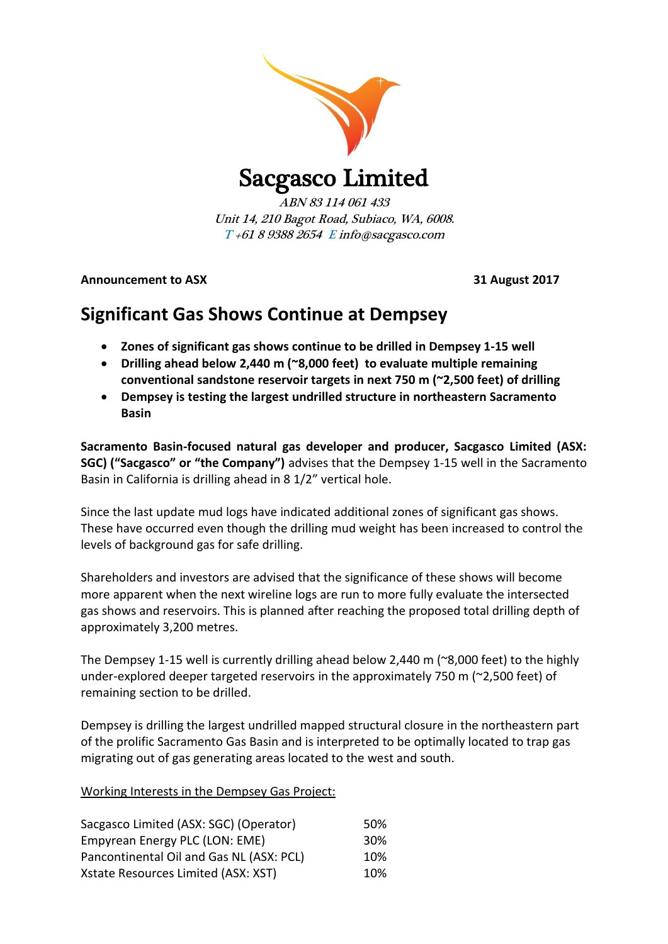

# Sacgasco Limited

ABN 83 114 061 433 Unit 14, 210 Bagot Road, Subiaco, WA, 6008. T +61 8 9388 2654 E info@sacgasco.com

**Announcement to ASX 31 August 2017**

## **Significant Gas Shows Continue at Dempsey**

- **Zones of significant gas shows continue to be drilled in Dempsey 1-15 well**
- **Drilling ahead below 2,440 m (~8,000 feet) to evaluate multiple remaining conventional sandstone reservoir targets in next 750 m (~2,500 feet) of drilling**
- **Dempsey is testing the largest undrilled structure in northeastern Sacramento Basin**

**Sacramento Basin-focused natural gas developer and producer, Sacgasco Limited (ASX: SGC) ("Sacgasco" or "the Company")** advises that the Dempsey 1-15 well in the Sacramento Basin in California is drilling ahead in 8 1/2" vertical hole.

Since the last update mud logs have indicated additional zones of significant gas shows. These have occurred even though the drilling mud weight has been increased to control the levels of background gas for safe drilling.

Shareholders and investors are advised that the significance of these shows will become more apparent when the next wireline logs are run to more fully evaluate the intersected gas shows and reservoirs. This is planned after reaching the proposed total drilling depth of approximately 3,200 metres.

The Dempsey 1-15 well is currently drilling ahead below 2,440 m (~8,000 feet) to the highly under-explored deeper targeted reservoirs in the approximately 750 m (~2,500 feet) of remaining section to be drilled.

Dempsey is drilling the largest undrilled mapped structural closure in the northeastern part of the prolific Sacramento Gas Basin and is interpreted to be optimally located to trap gas migrating out of gas generating areas located to the west and south.

| Working Interests in the Dempsey Gas Project: |
|-----------------------------------------------|
|-----------------------------------------------|

| Sacgasco Limited (ASX: SGC) (Operator)   | 50% |
|------------------------------------------|-----|
| Empyrean Energy PLC (LON: EME)           | 30% |
| Pancontinental Oil and Gas NL (ASX: PCL) | 10% |
| Xstate Resources Limited (ASX: XST)      | 10% |